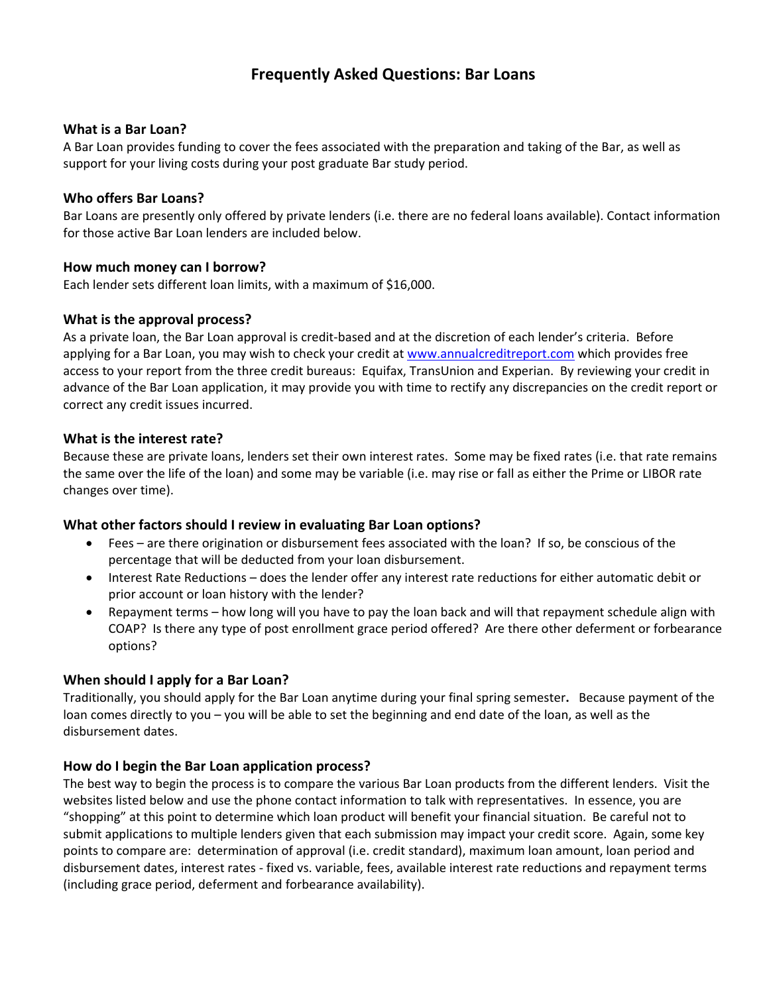# **Frequently Asked Questions: Bar Loans**

#### **What is a Bar Loan?**

A Bar Loan provides funding to cover the fees associated with the preparation and taking of the Bar, as well as support for your living costs during your post graduate Bar study period.

#### **Who offers Bar Loans?**

Bar Loans are presently only offered by private lenders (i.e. there are no federal loans available). Contact information for those active Bar Loan lenders are included below.

#### **How much money can I borrow?**

Each lender sets different loan limits, with a maximum of \$16,000.

#### **What is the approval process?**

As a private loan, the Bar Loan approval is credit-based and at the discretion of each lender's criteria. Before applying for a Bar Loan, you may wish to check your credit at [www.annualcreditreport.com](http://www.annualcreditreport.com/) which provides free access to your report from the three credit bureaus: Equifax, TransUnion and Experian. By reviewing your credit in advance of the Bar Loan application, it may provide you with time to rectify any discrepancies on the credit report or correct any credit issues incurred.

### **What is the interest rate?**

Because these are private loans, lenders set their own interest rates. Some may be fixed rates (i.e. that rate remains the same over the life of the loan) and some may be variable (i.e. may rise or fall as either the Prime or LIBOR rate changes over time).

### **What other factors should I review in evaluating Bar Loan options?**

- Fees are there origination or disbursement fees associated with the loan? If so, be conscious of the percentage that will be deducted from your loan disbursement.
- Interest Rate Reductions does the lender offer any interest rate reductions for either automatic debit or prior account or loan history with the lender?
- Repayment terms how long will you have to pay the loan back and will that repayment schedule align with COAP? Is there any type of post enrollment grace period offered? Are there other deferment or forbearance options?

### **When should I apply for a Bar Loan?**

Traditionally, you should apply for the Bar Loan anytime during your final spring semester**.** Because payment of the loan comes directly to you – you will be able to set the beginning and end date of the loan, as well as the disbursement dates.

### **How do I begin the Bar Loan application process?**

The best way to begin the process is to compare the various Bar Loan products from the different lenders. Visit the websites listed below and use the phone contact information to talk with representatives. In essence, you are "shopping" at this point to determine which loan product will benefit your financial situation. Be careful not to submit applications to multiple lenders given that each submission may impact your credit score. Again, some key points to compare are: determination of approval (i.e. credit standard), maximum loan amount, loan period and disbursement dates, interest rates - fixed vs. variable, fees, available interest rate reductions and repayment terms (including grace period, deferment and forbearance availability).